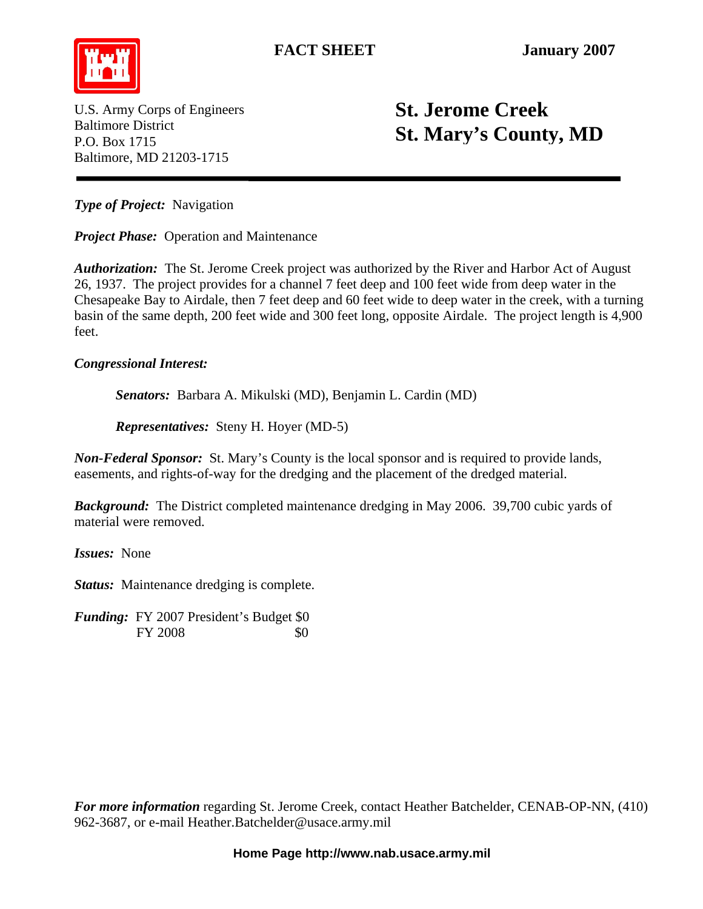

U.S. Army Corps of Engineers Baltimore District P.O. Box 1715 Baltimore, MD 21203-1715

## **St. Jerome Creek St. Mary's County, MD**

*Type of Project:* Navigation

*Project Phase:* Operation and Maintenance

*Authorization:* The St. Jerome Creek project was authorized by the River and Harbor Act of August 26, 1937. The project provides for a channel 7 feet deep and 100 feet wide from deep water in the Chesapeake Bay to Airdale, then 7 feet deep and 60 feet wide to deep water in the creek, with a turning basin of the same depth, 200 feet wide and 300 feet long, opposite Airdale. The project length is 4,900 feet.

## *Congressional Interest:*

 *Senators:* Barbara A. Mikulski (MD), Benjamin L. Cardin (MD)

*Representatives:* Steny H. Hoyer (MD-5)

*Non-Federal Sponsor:* St. Mary's County is the local sponsor and is required to provide lands, easements, and rights-of-way for the dredging and the placement of the dredged material.

*Background:* The District completed maintenance dredging in May 2006. 39,700 cubic yards of material were removed.

*Issues:* None

*Status:* Maintenance dredging is complete.

*Funding:* FY 2007 President's Budget \$0 FY 2008 \$0

*For more information* regarding St. Jerome Creek, contact Heather Batchelder, CENAB-OP-NN, (410) 962-3687, or e-mail Heather.Batchelder@usace.army.mil